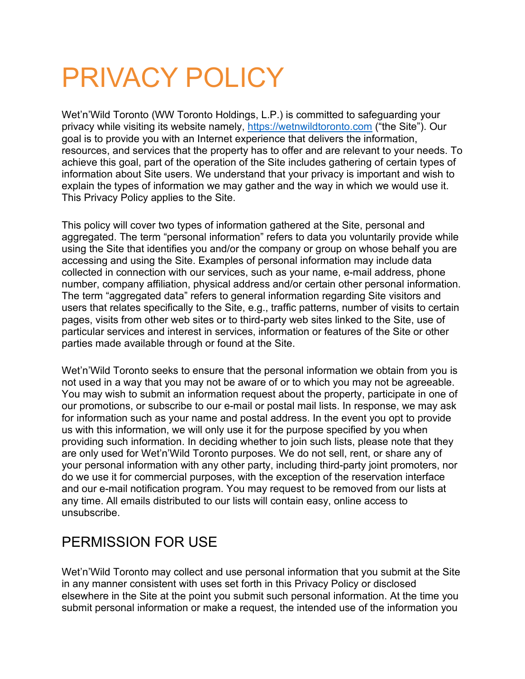# PRIVACY POLICY

Wet'n'Wild Toronto (WW Toronto Holdings, L.P.) is committed to safeguarding your privacy while visiting its website namely, [https://wetnwildtoronto.com](https://wetnwildtoronto.com/) ("the Site"). Our goal is to provide you with an Internet experience that delivers the information, resources, and services that the property has to offer and are relevant to your needs. To achieve this goal, part of the operation of the Site includes gathering of certain types of information about Site users. We understand that your privacy is important and wish to explain the types of information we may gather and the way in which we would use it. This Privacy Policy applies to the Site.

This policy will cover two types of information gathered at the Site, personal and aggregated. The term "personal information" refers to data you voluntarily provide while using the Site that identifies you and/or the company or group on whose behalf you are accessing and using the Site. Examples of personal information may include data collected in connection with our services, such as your name, e-mail address, phone number, company affiliation, physical address and/or certain other personal information. The term "aggregated data" refers to general information regarding Site visitors and users that relates specifically to the Site, e.g., traffic patterns, number of visits to certain pages, visits from other web sites or to third-party web sites linked to the Site, use of particular services and interest in services, information or features of the Site or other parties made available through or found at the Site.

Wet'n'Wild Toronto seeks to ensure that the personal information we obtain from you is not used in a way that you may not be aware of or to which you may not be agreeable. You may wish to submit an information request about the property, participate in one of our promotions, or subscribe to our e-mail or postal mail lists. In response, we may ask for information such as your name and postal address. In the event you opt to provide us with this information, we will only use it for the purpose specified by you when providing such information. In deciding whether to join such lists, please note that they are only used for Wet'n'Wild Toronto purposes. We do not sell, rent, or share any of your personal information with any other party, including third-party joint promoters, nor do we use it for commercial purposes, with the exception of the reservation interface and our e-mail notification program. You may request to be removed from our lists at any time. All emails distributed to our lists will contain easy, online access to unsubscribe.

# PERMISSION FOR USE

Wet'n'Wild Toronto may collect and use personal information that you submit at the Site in any manner consistent with uses set forth in this Privacy Policy or disclosed elsewhere in the Site at the point you submit such personal information. At the time you submit personal information or make a request, the intended use of the information you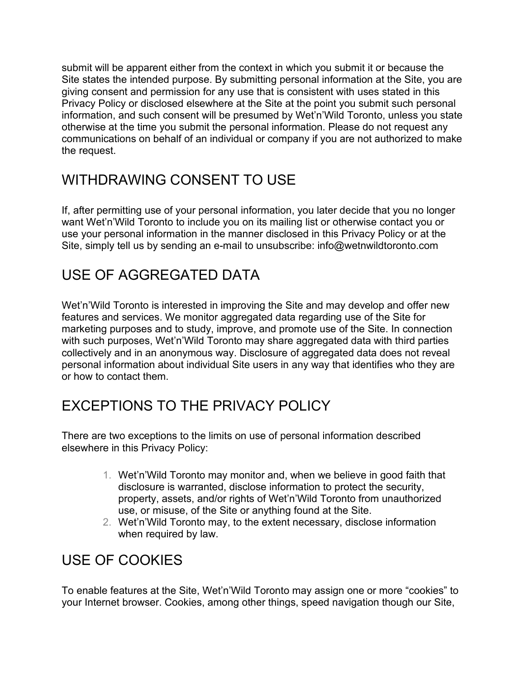submit will be apparent either from the context in which you submit it or because the Site states the intended purpose. By submitting personal information at the Site, you are giving consent and permission for any use that is consistent with uses stated in this Privacy Policy or disclosed elsewhere at the Site at the point you submit such personal information, and such consent will be presumed by Wet'n'Wild Toronto, unless you state otherwise at the time you submit the personal information. Please do not request any communications on behalf of an individual or company if you are not authorized to make the request.

## WITHDRAWING CONSENT TO USE

If, after permitting use of your personal information, you later decide that you no longer want Wet'n'Wild Toronto to include you on its mailing list or otherwise contact you or use your personal information in the manner disclosed in this Privacy Policy or at the Site, simply tell us by sending an e-mail to unsubscribe: info@wetnwildtoronto.com

## USE OF AGGREGATED DATA

Wet'n'Wild Toronto is interested in improving the Site and may develop and offer new features and services. We monitor aggregated data regarding use of the Site for marketing purposes and to study, improve, and promote use of the Site. In connection with such purposes, Wet'n'Wild Toronto may share aggregated data with third parties collectively and in an anonymous way. Disclosure of aggregated data does not reveal personal information about individual Site users in any way that identifies who they are or how to contact them.

## EXCEPTIONS TO THE PRIVACY POLICY

There are two exceptions to the limits on use of personal information described elsewhere in this Privacy Policy:

- 1. Wet'n'Wild Toronto may monitor and, when we believe in good faith that disclosure is warranted, disclose information to protect the security, property, assets, and/or rights of Wet'n'Wild Toronto from unauthorized use, or misuse, of the Site or anything found at the Site.
- 2. Wet'n'Wild Toronto may, to the extent necessary, disclose information when required by law.

# USE OF COOKIES

To enable features at the Site, Wet'n'Wild Toronto may assign one or more "cookies" to your Internet browser. Cookies, among other things, speed navigation though our Site,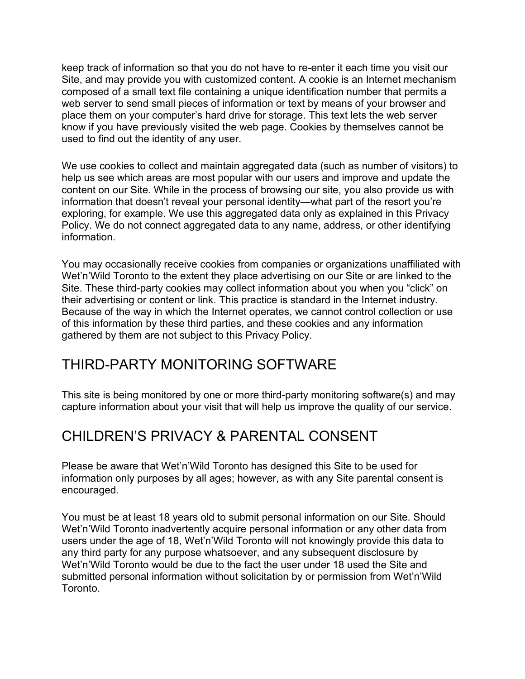keep track of information so that you do not have to re-enter it each time you visit our Site, and may provide you with customized content. A cookie is an Internet mechanism composed of a small text file containing a unique identification number that permits a web server to send small pieces of information or text by means of your browser and place them on your computer's hard drive for storage. This text lets the web server know if you have previously visited the web page. Cookies by themselves cannot be used to find out the identity of any user.

We use cookies to collect and maintain aggregated data (such as number of visitors) to help us see which areas are most popular with our users and improve and update the content on our Site. While in the process of browsing our site, you also provide us with information that doesn't reveal your personal identity—what part of the resort you're exploring, for example. We use this aggregated data only as explained in this Privacy Policy. We do not connect aggregated data to any name, address, or other identifying information.

You may occasionally receive cookies from companies or organizations unaffiliated with Wet'n'Wild Toronto to the extent they place advertising on our Site or are linked to the Site. These third-party cookies may collect information about you when you "click" on their advertising or content or link. This practice is standard in the Internet industry. Because of the way in which the Internet operates, we cannot control collection or use of this information by these third parties, and these cookies and any information gathered by them are not subject to this Privacy Policy.

#### THIRD-PARTY MONITORING SOFTWARE

This site is being monitored by one or more third-party monitoring software(s) and may capture information about your visit that will help us improve the quality of our service.

## CHILDREN'S PRIVACY & PARENTAL CONSENT

Please be aware that Wet'n'Wild Toronto has designed this Site to be used for information only purposes by all ages; however, as with any Site parental consent is encouraged.

You must be at least 18 years old to submit personal information on our Site. Should Wet'n'Wild Toronto inadvertently acquire personal information or any other data from users under the age of 18, Wet'n'Wild Toronto will not knowingly provide this data to any third party for any purpose whatsoever, and any subsequent disclosure by Wet'n'Wild Toronto would be due to the fact the user under 18 used the Site and submitted personal information without solicitation by or permission from Wet'n'Wild Toronto.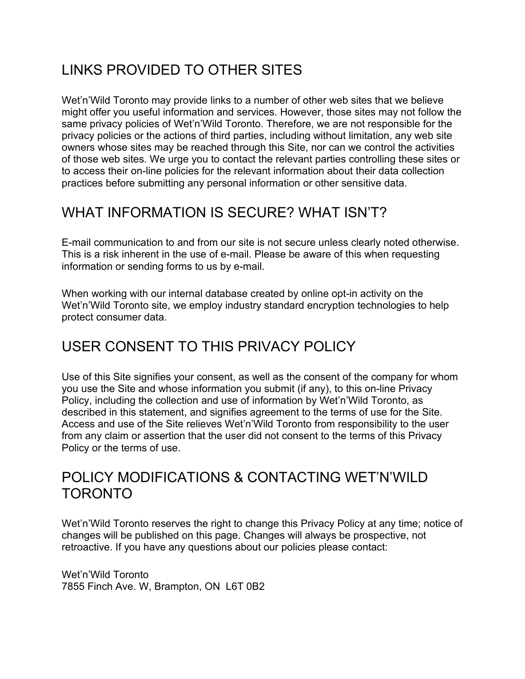# LINKS PROVIDED TO OTHER SITES

Wet'n'Wild Toronto may provide links to a number of other web sites that we believe might offer you useful information and services. However, those sites may not follow the same privacy policies of Wet'n'Wild Toronto. Therefore, we are not responsible for the privacy policies or the actions of third parties, including without limitation, any web site owners whose sites may be reached through this Site, nor can we control the activities of those web sites. We urge you to contact the relevant parties controlling these sites or to access their on-line policies for the relevant information about their data collection practices before submitting any personal information or other sensitive data.

# WHAT INFORMATION IS SECURE? WHAT ISN'T?

E-mail communication to and from our site is not secure unless clearly noted otherwise. This is a risk inherent in the use of e-mail. Please be aware of this when requesting information or sending forms to us by e-mail.

When working with our internal database created by online opt-in activity on the Wet'n'Wild Toronto site, we employ industry standard encryption technologies to help protect consumer data.

# USER CONSENT TO THIS PRIVACY POLICY

Use of this Site signifies your consent, as well as the consent of the company for whom you use the Site and whose information you submit (if any), to this on-line Privacy Policy, including the collection and use of information by Wet'n'Wild Toronto, as described in this statement, and signifies agreement to the terms of use for the Site. Access and use of the Site relieves Wet'n'Wild Toronto from responsibility to the user from any claim or assertion that the user did not consent to the terms of this Privacy Policy or the terms of use.

#### POLICY MODIFICATIONS & CONTACTING WET'N'WILD TORONTO

Wet'n'Wild Toronto reserves the right to change this Privacy Policy at any time; notice of changes will be published on this page. Changes will always be prospective, not retroactive. If you have any questions about our policies please contact:

Wet'n'Wild Toronto 7855 Finch Ave. W, Brampton, ON L6T 0B2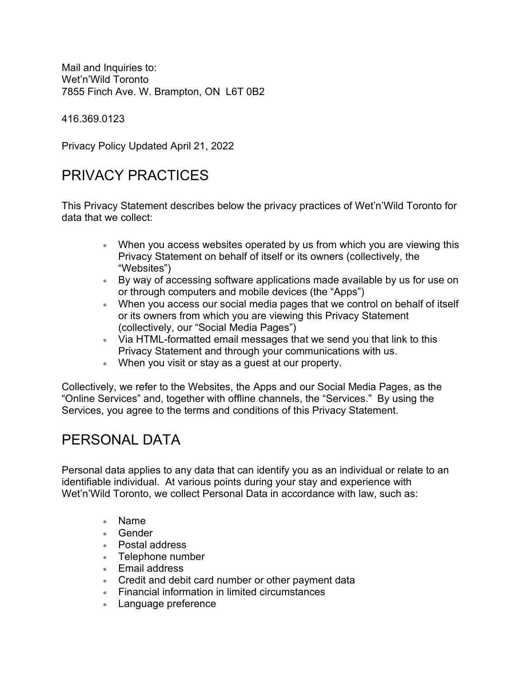Mail and Inquiries to: Wet'n'Wild Toronto 7855 Finch Ave. W. Brampton, ON L6T 0B2

416.369.0123

Privacy Policy Updated April 21, 2022

## PRIVACY PRACTICES

This Privacy Statement describes below the privacy practices of Wet'n'Wild Toronto for data that we collect:

- When you access websites operated by us from which you are viewing this Privacy Statement on behalf of itself or its owners (collectively, the "Websites")
- By way of accessing software applications made available by us for use on or through computers and mobile devices (the "Apps")
- When you access our social media pages that we control on behalf of itself or its owners from which you are viewing this Privacy Statement (collectively, our "Social Media Pages")
- Via HTML-formatted email messages that we send you that link to this Privacy Statement and through your communications with us.
- When you visit or stay as a guest at our property.

Collectively, we refer to the Websites, the Apps and our Social Media Pages, as the "Online Services" and, together with offline channels, the "Services." By using the Services, you agree to the terms and conditions of this Privacy Statement.

#### PERSONAL DATA

Personal data applies to any data that can identify you as an individual or relate to an identifiable individual. At various points during your stay and experience with Wet'n'Wild Toronto, we collect Personal Data in accordance with law, such as:

- Name
- Gender
- Postal address
- Telephone number
- Email address
- Credit and debit card number or other payment data
- Financial information in limited circumstances
- Language preference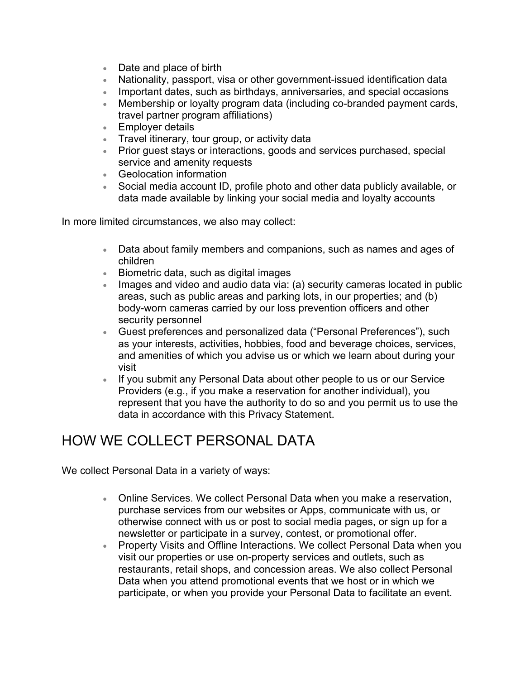- Date and place of birth
- Nationality, passport, visa or other government-issued identification data
- Important dates, such as birthdays, anniversaries, and special occasions
- Membership or loyalty program data (including co-branded payment cards, travel partner program affiliations)
- Employer details
- Travel itinerary, tour group, or activity data
- Prior guest stays or interactions, goods and services purchased, special service and amenity requests
- Geolocation information
- Social media account ID, profile photo and other data publicly available, or data made available by linking your social media and loyalty accounts

In more limited circumstances, we also may collect:

- Data about family members and companions, such as names and ages of children
- Biometric data, such as digital images
- Images and video and audio data via: (a) security cameras located in public areas, such as public areas and parking lots, in our properties; and (b) body-worn cameras carried by our loss prevention officers and other security personnel
- Guest preferences and personalized data ("Personal Preferences"), such as your interests, activities, hobbies, food and beverage choices, services, and amenities of which you advise us or which we learn about during your visit
- If you submit any Personal Data about other people to us or our Service Providers (e.g., if you make a reservation for another individual), you represent that you have the authority to do so and you permit us to use the data in accordance with this Privacy Statement.

## HOW WE COLLECT PERSONAL DATA

We collect Personal Data in a variety of ways:

- Online Services. We collect Personal Data when you make a reservation, purchase services from our websites or Apps, communicate with us, or otherwise connect with us or post to social media pages, or sign up for a newsletter or participate in a survey, contest, or promotional offer.
- Property Visits and Offline Interactions. We collect Personal Data when you visit our properties or use on-property services and outlets, such as restaurants, retail shops, and concession areas. We also collect Personal Data when you attend promotional events that we host or in which we participate, or when you provide your Personal Data to facilitate an event.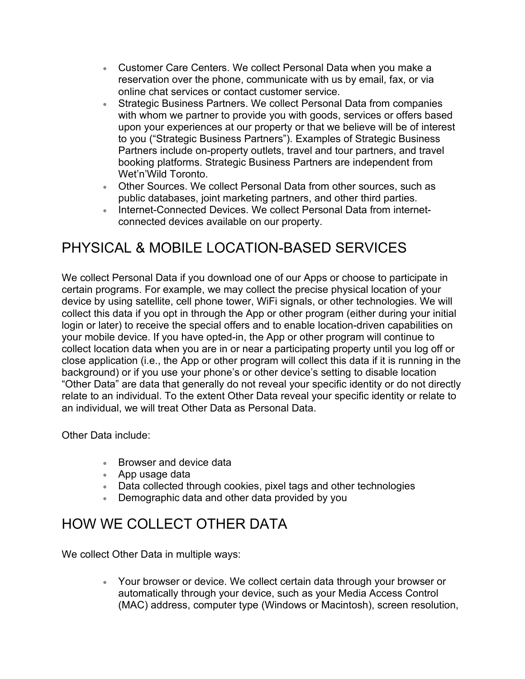- Customer Care Centers. We collect Personal Data when you make a reservation over the phone, communicate with us by email, fax, or via online chat services or contact customer service.
- Strategic Business Partners. We collect Personal Data from companies with whom we partner to provide you with goods, services or offers based upon your experiences at our property or that we believe will be of interest to you ("Strategic Business Partners"). Examples of Strategic Business Partners include on-property outlets, travel and tour partners, and travel booking platforms. Strategic Business Partners are independent from Wet'n'Wild Toronto.
- Other Sources. We collect Personal Data from other sources, such as public databases, joint marketing partners, and other third parties.
- Internet-Connected Devices. We collect Personal Data from internetconnected devices available on our property.

# PHYSICAL & MOBILE LOCATION-BASED SERVICES

We collect Personal Data if you download one of our Apps or choose to participate in certain programs. For example, we may collect the precise physical location of your device by using satellite, cell phone tower, WiFi signals, or other technologies. We will collect this data if you opt in through the App or other program (either during your initial login or later) to receive the special offers and to enable location-driven capabilities on your mobile device. If you have opted-in, the App or other program will continue to collect location data when you are in or near a participating property until you log off or close application (i.e., the App or other program will collect this data if it is running in the background) or if you use your phone's or other device's setting to disable location "Other Data" are data that generally do not reveal your specific identity or do not directly relate to an individual. To the extent Other Data reveal your specific identity or relate to an individual, we will treat Other Data as Personal Data.

Other Data include:

- Browser and device data
- App usage data
- Data collected through cookies, pixel tags and other technologies
- Demographic data and other data provided by you

#### HOW WE COLLECT OTHER DATA

We collect Other Data in multiple ways:

• Your browser or device. We collect certain data through your browser or automatically through your device, such as your Media Access Control (MAC) address, computer type (Windows or Macintosh), screen resolution,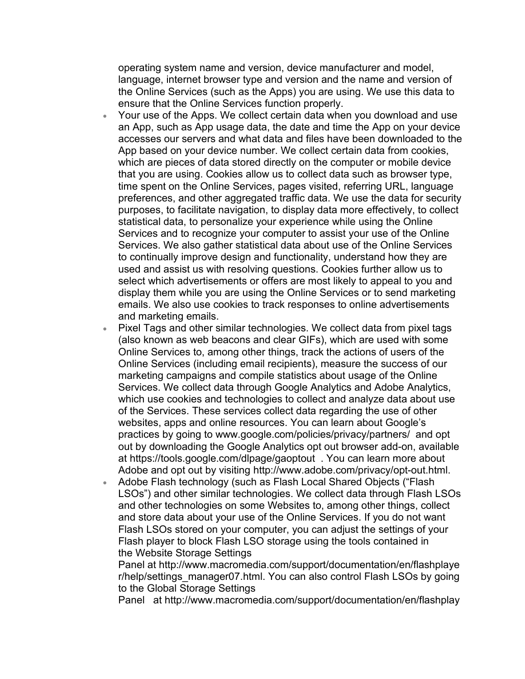operating system name and version, device manufacturer and model, language, internet browser type and version and the name and version of the Online Services (such as the Apps) you are using. We use this data to ensure that the Online Services function properly.

- Your use of the Apps. We collect certain data when you download and use an App, such as App usage data, the date and time the App on your device accesses our servers and what data and files have been downloaded to the App based on your device number. We collect certain data from cookies, which are pieces of data stored directly on the computer or mobile device that you are using. Cookies allow us to collect data such as browser type, time spent on the Online Services, pages visited, referring URL, language preferences, and other aggregated traffic data. We use the data for security purposes, to facilitate navigation, to display data more effectively, to collect statistical data, to personalize your experience while using the Online Services and to recognize your computer to assist your use of the Online Services. We also gather statistical data about use of the Online Services to continually improve design and functionality, understand how they are used and assist us with resolving questions. Cookies further allow us to select which advertisements or offers are most likely to appeal to you and display them while you are using the Online Services or to send marketing emails. We also use cookies to track responses to online advertisements and marketing emails.
- Pixel Tags and other similar technologies. We collect data from pixel tags (also known as web beacons and clear GIFs), which are used with some Online Services to, among other things, track the actions of users of the Online Services (including email recipients), measure the success of our marketing campaigns and compile statistics about usage of the Online Services. We collect data through Google Analytics and Adobe Analytics, which use cookies and technologies to collect and analyze data about use of the Services. These services collect data regarding the use of other websites, apps and online resources. You can learn about Google's practices by going to [www.google.com/policies/privacy/partners/](http://www.google.com/policies/privacy/partners/) and opt out by downloading the Google Analytics opt out browser add-on, available at <https://tools.google.com/dlpage/gaoptout>. You can learn more about Adobe and opt out by visiting [http://www.adobe.com/privacy/opt-out.html.](http://www.adobe.com/privacy/opt-out.html)
- Adobe Flash technology (such as Flash Local Shared Objects ("Flash LSOs") and other similar technologies. We collect data through Flash LSOs and other technologies on some Websites to, among other things, collect and store data about your use of the Online Services. If you do not want Flash LSOs stored on your computer, you can adjust the settings of your Flash player to block Flash LSO storage using the tools contained in the [Website Storage Settings](http://www.macromedia.com/support/documentation/en/flashplayer/help/settings_manager07.html)

[Panel](http://www.macromedia.com/support/documentation/en/flashplayer/help/settings_manager07.html) at [http://www.macromedia.com/support/documentation/en/flashplaye](http://www.macromedia.com/support/documentation/en/flashplayer/help/settings_manager07.html) [r/help/settings\\_manager07.html.](http://www.macromedia.com/support/documentation/en/flashplayer/help/settings_manager07.html) You can also control Flash LSOs by going to the [Global Storage Settings](http://www.macromedia.com/support/documentation/en/flashplayer/help/settings_manager03.html) 

[Panel](http://www.macromedia.com/support/documentation/en/flashplayer/help/settings_manager03.html) at [http://www.macromedia.com/support/documentation/en/flashplay](http://www.macromedia.com/support/documentation/en/flashplayer/help/settings_manager03.html)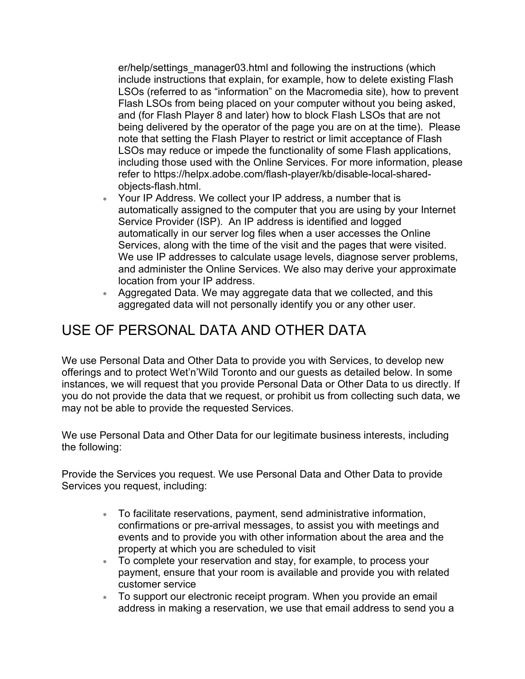[er/help/settings\\_manager03.html](http://www.macromedia.com/support/documentation/en/flashplayer/help/settings_manager03.html) and following the instructions (which include instructions that explain, for example, how to delete existing Flash LSOs (referred to as "information" on the Macromedia site), how to prevent Flash LSOs from being placed on your computer without you being asked, and (for Flash Player 8 and later) how to block Flash LSOs that are not being delivered by the operator of the page you are on at the time). Please note that setting the Flash Player to restrict or limit acceptance of Flash LSOs may reduce or impede the functionality of some Flash applications, including those used with the Online Services. For more information, please refer to [https://helpx.adobe.com/flash-player/kb/disable-local-shared](https://helpx.adobe.com/flash-player/kb/disable-local-shared-objects-flash.html)[objects-flash.html.](https://helpx.adobe.com/flash-player/kb/disable-local-shared-objects-flash.html)

- Your IP Address. We collect your IP address, a number that is automatically assigned to the computer that you are using by your Internet Service Provider (ISP). An IP address is identified and logged automatically in our server log files when a user accesses the Online Services, along with the time of the visit and the pages that were visited. We use IP addresses to calculate usage levels, diagnose server problems, and administer the Online Services. We also may derive your approximate location from your IP address.
- Aggregated Data. We may aggregate data that we collected, and this aggregated data will not personally identify you or any other user.

# USE OF PERSONAL DATA AND OTHER DATA

We use Personal Data and Other Data to provide you with Services, to develop new offerings and to protect Wet'n'Wild Toronto and our guests as detailed below. In some instances, we will request that you provide Personal Data or Other Data to us directly. If you do not provide the data that we request, or prohibit us from collecting such data, we may not be able to provide the requested Services.

We use Personal Data and Other Data for our legitimate business interests, including the following:

Provide the Services you request. We use Personal Data and Other Data to provide Services you request, including:

- To facilitate reservations, payment, send administrative information, confirmations or pre-arrival messages, to assist you with meetings and events and to provide you with other information about the area and the property at which you are scheduled to visit
- To complete your reservation and stay, for example, to process your payment, ensure that your room is available and provide you with related customer service
- To support our electronic receipt program. When you provide an email address in making a reservation, we use that email address to send you a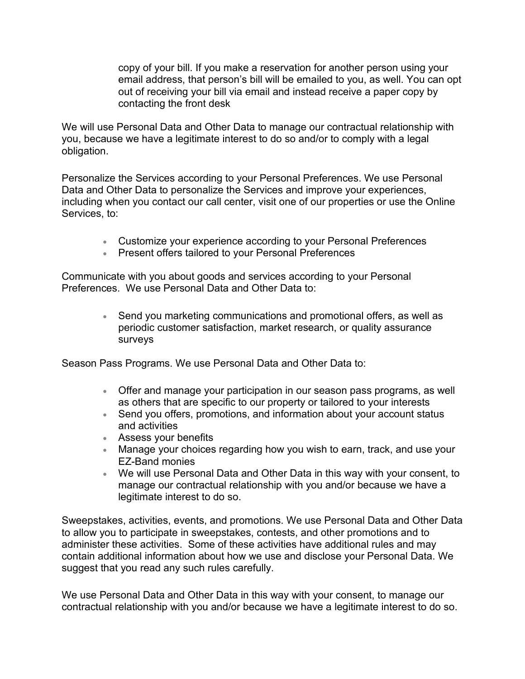copy of your bill. If you make a reservation for another person using your email address, that person's bill will be emailed to you, as well. You can opt out of receiving your bill via email and instead receive a paper copy by contacting the front desk

We will use Personal Data and Other Data to manage our contractual relationship with you, because we have a legitimate interest to do so and/or to comply with a legal obligation.

Personalize the Services according to your Personal Preferences. We use Personal Data and Other Data to personalize the Services and improve your experiences, including when you contact our call center, visit one of our properties or use the Online Services, to:

- Customize your experience according to your Personal Preferences
- Present offers tailored to your Personal Preferences

Communicate with you about goods and services according to your Personal Preferences. We use Personal Data and Other Data to:

> • Send you marketing communications and promotional offers, as well as periodic customer satisfaction, market research, or quality assurance surveys

Season Pass Programs. We use Personal Data and Other Data to:

- Offer and manage your participation in our season pass programs, as well as others that are specific to our property or tailored to your interests
- Send you offers, promotions, and information about your account status and activities
- Assess your benefits
- Manage your choices regarding how you wish to earn, track, and use your EZ-Band monies
- We will use Personal Data and Other Data in this way with your consent, to manage our contractual relationship with you and/or because we have a legitimate interest to do so.

Sweepstakes, activities, events, and promotions. We use Personal Data and Other Data to allow you to participate in sweepstakes, contests, and other promotions and to administer these activities. Some of these activities have additional rules and may contain additional information about how we use and disclose your Personal Data. We suggest that you read any such rules carefully.

We use Personal Data and Other Data in this way with your consent, to manage our contractual relationship with you and/or because we have a legitimate interest to do so.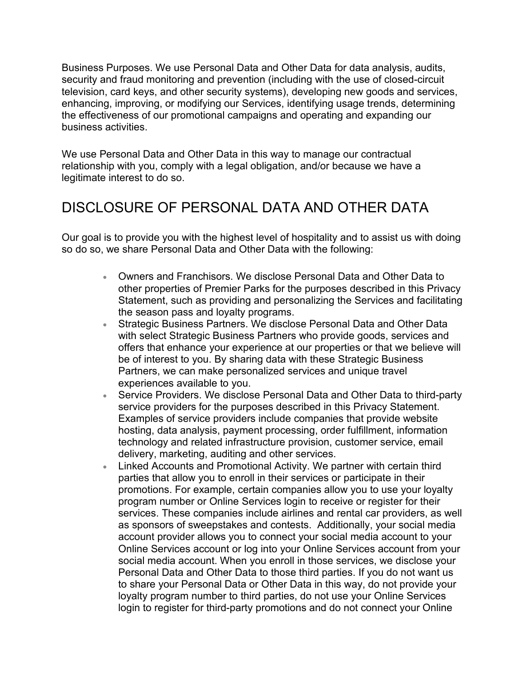Business Purposes. We use Personal Data and Other Data for data analysis, audits, security and fraud monitoring and prevention (including with the use of closed-circuit television, card keys, and other security systems), developing new goods and services, enhancing, improving, or modifying our Services, identifying usage trends, determining the effectiveness of our promotional campaigns and operating and expanding our business activities.

We use Personal Data and Other Data in this way to manage our contractual relationship with you, comply with a legal obligation, and/or because we have a legitimate interest to do so.

#### DISCLOSURE OF PERSONAL DATA AND OTHER DATA

Our goal is to provide you with the highest level of hospitality and to assist us with doing so do so, we share Personal Data and Other Data with the following:

- Owners and Franchisors. We disclose Personal Data and Other Data to other properties of Premier Parks for the purposes described in this Privacy Statement, such as providing and personalizing the Services and facilitating the season pass and loyalty programs.
- Strategic Business Partners. We disclose Personal Data and Other Data with select Strategic Business Partners who provide goods, services and offers that enhance your experience at our properties or that we believe will be of interest to you. By sharing data with these Strategic Business Partners, we can make personalized services and unique travel experiences available to you.
- Service Providers. We disclose Personal Data and Other Data to third-party service providers for the purposes described in this Privacy Statement. Examples of service providers include companies that provide website hosting, data analysis, payment processing, order fulfillment, information technology and related infrastructure provision, customer service, email delivery, marketing, auditing and other services.
- Linked Accounts and Promotional Activity. We partner with certain third parties that allow you to enroll in their services or participate in their promotions. For example, certain companies allow you to use your loyalty program number or Online Services login to receive or register for their services. These companies include airlines and rental car providers, as well as sponsors of sweepstakes and contests. Additionally, your social media account provider allows you to connect your social media account to your Online Services account or log into your Online Services account from your social media account. When you enroll in those services, we disclose your Personal Data and Other Data to those third parties. If you do not want us to share your Personal Data or Other Data in this way, do not provide your loyalty program number to third parties, do not use your Online Services login to register for third-party promotions and do not connect your Online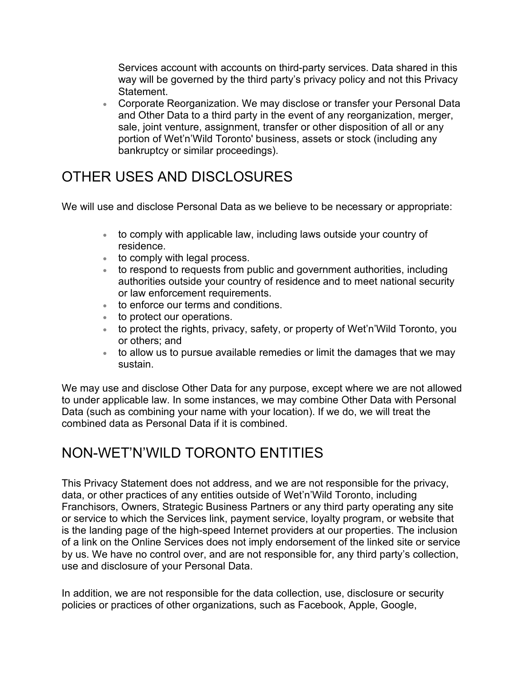Services account with accounts on third-party services. Data shared in this way will be governed by the third party's privacy policy and not this Privacy Statement.

• Corporate Reorganization. We may disclose or transfer your Personal Data and Other Data to a third party in the event of any reorganization, merger, sale, joint venture, assignment, transfer or other disposition of all or any portion of Wet'n'Wild Toronto' business, assets or stock (including any bankruptcy or similar proceedings).

## OTHER USES AND DISCLOSURES

We will use and disclose Personal Data as we believe to be necessary or appropriate:

- to comply with applicable law, including laws outside your country of residence.
- to comply with legal process.
- to respond to requests from public and government authorities, including authorities outside your country of residence and to meet national security or law enforcement requirements.
- to enforce our terms and conditions.
- to protect our operations.
- to protect the rights, privacy, safety, or property of Wet'n'Wild Toronto, you or others; and
- to allow us to pursue available remedies or limit the damages that we may sustain.

We may use and disclose Other Data for any purpose, except where we are not allowed to under applicable law. In some instances, we may combine Other Data with Personal Data (such as combining your name with your location). If we do, we will treat the combined data as Personal Data if it is combined.

## NON-WET'N'WILD TORONTO ENTITIES

This Privacy Statement does not address, and we are not responsible for the privacy, data, or other practices of any entities outside of Wet'n'Wild Toronto, including Franchisors, Owners, Strategic Business Partners or any third party operating any site or service to which the Services link, payment service, loyalty program, or website that is the landing page of the high-speed Internet providers at our properties. The inclusion of a link on the Online Services does not imply endorsement of the linked site or service by us. We have no control over, and are not responsible for, any third party's collection, use and disclosure of your Personal Data.

In addition, we are not responsible for the data collection, use, disclosure or security policies or practices of other organizations, such as Facebook, Apple, Google,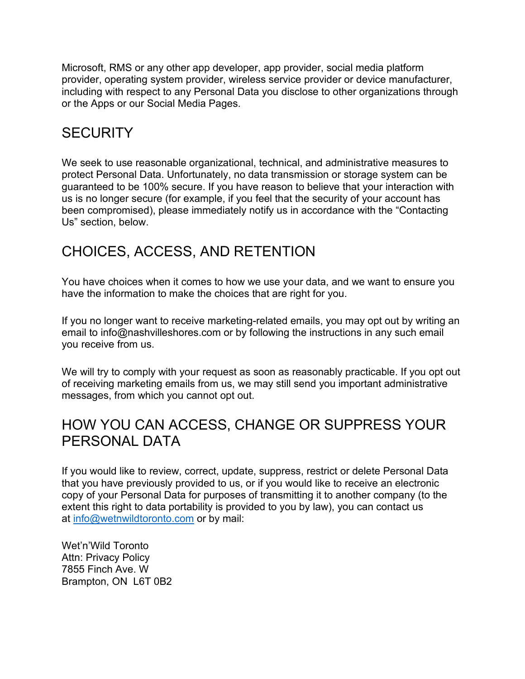Microsoft, RMS or any other app developer, app provider, social media platform provider, operating system provider, wireless service provider or device manufacturer, including with respect to any Personal Data you disclose to other organizations through or the Apps or our Social Media Pages.

## **SECURITY**

We seek to use reasonable organizational, technical, and administrative measures to protect Personal Data. Unfortunately, no data transmission or storage system can be guaranteed to be 100% secure. If you have reason to believe that your interaction with us is no longer secure (for example, if you feel that the security of your account has been compromised), please immediately notify us in accordance with the "Contacting Us" section, below.

# CHOICES, ACCESS, AND RETENTION

You have choices when it comes to how we use your data, and we want to ensure you have the information to make the choices that are right for you.

If you no longer want to receive marketing-related emails, you may opt out by writing an email to [info@nashvilleshores.com](mailto:info@nashvilleshores.com) or by following the instructions in any such email you receive from us.

We will try to comply with your request as soon as reasonably practicable. If you opt out of receiving marketing emails from us, we may still send you important administrative messages, from which you cannot opt out.

#### HOW YOU CAN ACCESS, CHANGE OR SUPPRESS YOUR PERSONAL DATA

If you would like to review, correct, update, suppress, restrict or delete Personal Data that you have previously provided to us, or if you would like to receive an electronic copy of your Personal Data for purposes of transmitting it to another company (to the extent this right to data portability is provided to you by law), you can contact us at [info@wetnwildtoronto.com](mailto:info@wetnwildtoronto.com) or by mail:

Wet'n'Wild Toronto Attn: Privacy Policy 7855 Finch Ave. W Brampton, ON L6T 0B2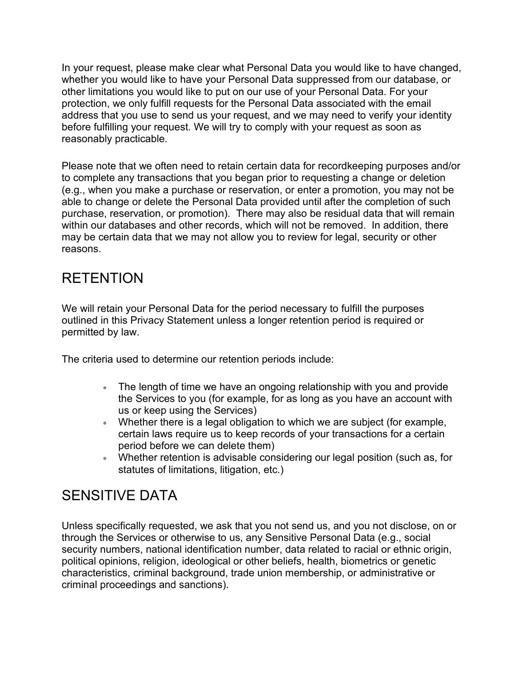In your request, please make clear what Personal Data you would like to have changed, whether you would like to have your Personal Data suppressed from our database, or other limitations you would like to put on our use of your Personal Data. For your protection, we only fulfill requests for the Personal Data associated with the email address that you use to send us your request, and we may need to verify your identity before fulfilling your request. We will try to comply with your request as soon as reasonably practicable.

Please note that we often need to retain certain data for recordkeeping purposes and/or to complete any transactions that you began prior to requesting a change or deletion (e.g., when you make a purchase or reservation, or enter a promotion, you may not be able to change or delete the Personal Data provided until after the completion of such purchase, reservation, or promotion). There may also be residual data that will remain within our databases and other records, which will not be removed. In addition, there may be certain data that we may not allow you to review for legal, security or other reasons.

# RETENTION

We will retain your Personal Data for the period necessary to fulfill the purposes outlined in this Privacy Statement unless a longer retention period is required or permitted by law.

The criteria used to determine our retention periods include:

- The length of time we have an ongoing relationship with you and provide the Services to you (for example, for as long as you have an account with us or keep using the Services)
- Whether there is a legal obligation to which we are subject (for example, certain laws require us to keep records of your transactions for a certain period before we can delete them)
- Whether retention is advisable considering our legal position (such as, for statutes of limitations, litigation, etc.)

## SENSITIVE DATA

Unless specifically requested, we ask that you not send us, and you not disclose, on or through the Services or otherwise to us, any Sensitive Personal Data (e.g., social security numbers, national identification number, data related to racial or ethnic origin, political opinions, religion, ideological or other beliefs, health, biometrics or genetic characteristics, criminal background, trade union membership, or administrative or criminal proceedings and sanctions).